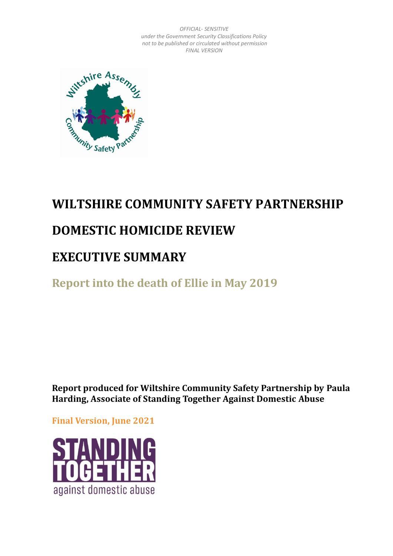

# **WILTSHIRE COMMUNITY SAFETY PARTNERSHIP**

# **DOMESTIC HOMICIDE REVIEW**

# **EXECUTIVE SUMMARY**

**Report into the death of Ellie in May 2019** 

**Report produced for Wiltshire Community Safety Partnership by Paula Harding, Associate of Standing Together Against Domestic Abuse**

**Final Version, June 2021**

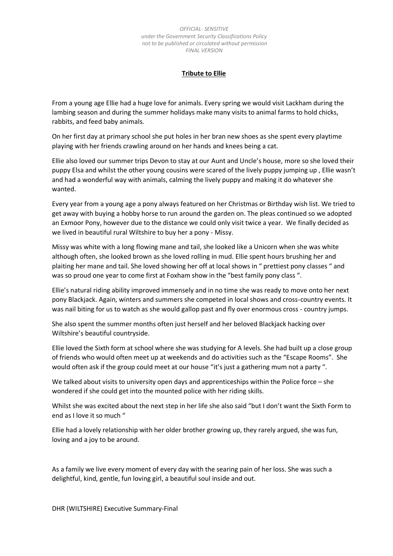#### **Tribute to Ellie**

From a young age Ellie had a huge love for animals. Every spring we would visit Lackham during the lambing season and during the summer holidays make many visits to animal farms to hold chicks, rabbits, and feed baby animals.

On her first day at primary school she put holes in her bran new shoes as she spent every playtime playing with her friends crawling around on her hands and knees being a cat.

Ellie also loved our summer trips Devon to stay at our Aunt and Uncle's house, more so she loved their puppy Elsa and whilst the other young cousins were scared of the lively puppy jumping up , Ellie wasn't and had a wonderful way with animals, calming the lively puppy and making it do whatever she wanted.

Every year from a young age a pony always featured on her Christmas or Birthday wish list. We tried to get away with buying a hobby horse to run around the garden on. The pleas continued so we adopted an Exmoor Pony, however due to the distance we could only visit twice a year. We finally decided as we lived in beautiful rural Wiltshire to buy her a pony - Missy.

Missy was white with a long flowing mane and tail, she looked like a Unicorn when she was white although often, she looked brown as she loved rolling in mud. Ellie spent hours brushing her and plaiting her mane and tail. She loved showing her off at local shows in " prettiest pony classes " and was so proud one year to come first at Foxham show in the "best family pony class ".

Ellie's natural riding ability improved immensely and in no time she was ready to move onto her next pony Blackjack. Again, winters and summers she competed in local shows and cross-country events. It was nail biting for us to watch as she would gallop past and fly over enormous cross - country jumps.

She also spent the summer months often just herself and her beloved Blackjack hacking over Wiltshire's beautiful countryside.

Ellie loved the Sixth form at school where she was studying for A levels. She had built up a close group of friends who would often meet up at weekends and do activities such as the "Escape Rooms". She would often ask if the group could meet at our house "it's just a gathering mum not a party ".

We talked about visits to university open days and apprenticeships within the Police force – she wondered if she could get into the mounted police with her riding skills.

Whilst she was excited about the next step in her life she also said "but I don't want the Sixth Form to end as I love it so much "

Ellie had a lovely relationship with her older brother growing up, they rarely argued, she was fun, loving and a joy to be around.

As a family we live every moment of every day with the searing pain of her loss. She was such a delightful, kind, gentle, fun loving girl, a beautiful soul inside and out.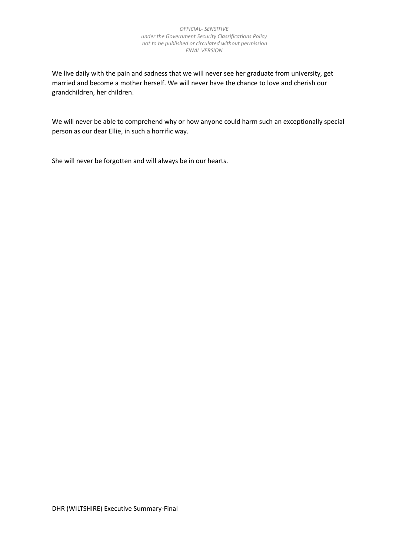We live daily with the pain and sadness that we will never see her graduate from university, get married and become a mother herself. We will never have the chance to love and cherish our grandchildren, her children.

We will never be able to comprehend why or how anyone could harm such an exceptionally special person as our dear Ellie, in such a horrific way.

She will never be forgotten and will always be in our hearts.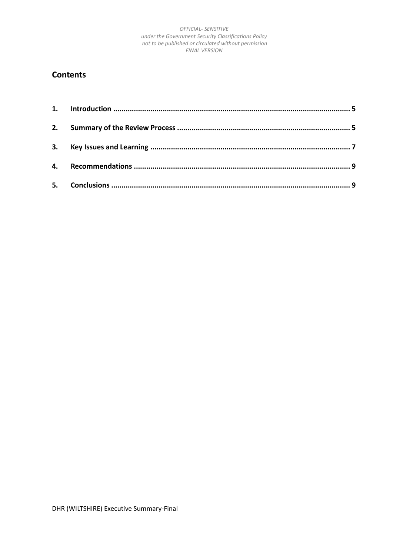## **Contents**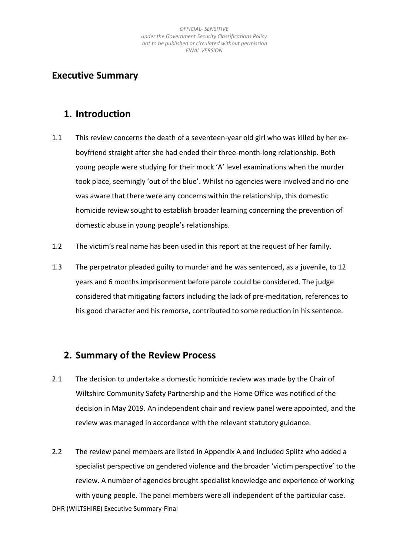## **Executive Summary**

## <span id="page-4-0"></span>**1. Introduction**

- 1.1 This review concerns the death of a seventeen-year old girl who was killed by her exboyfriend straight after she had ended their three-month-long relationship. Both young people were studying for their mock 'A' level examinations when the murder took place, seemingly 'out of the blue'. Whilst no agencies were involved and no-one was aware that there were any concerns within the relationship, this domestic homicide review sought to establish broader learning concerning the prevention of domestic abuse in young people's relationships.
- 1.2 The victim's real name has been used in this report at the request of her family.
- 1.3 The perpetrator pleaded guilty to murder and he was sentenced, as a juvenile, to 12 years and 6 months imprisonment before parole could be considered. The judge considered that mitigating factors including the lack of pre-meditation, references to his good character and his remorse, contributed to some reduction in his sentence.

## <span id="page-4-1"></span>**2. Summary of the Review Process**

- 2.1 The decision to undertake a domestic homicide review was made by the Chair of Wiltshire Community Safety Partnership and the Home Office was notified of the decision in May 2019. An independent chair and review panel were appointed, and the review was managed in accordance with the relevant statutory guidance.
- 2.2 The review panel members are listed in Appendix A and included Splitz who added a specialist perspective on gendered violence and the broader 'victim perspective' to the review. A number of agencies brought specialist knowledge and experience of working with young people. The panel members were all independent of the particular case.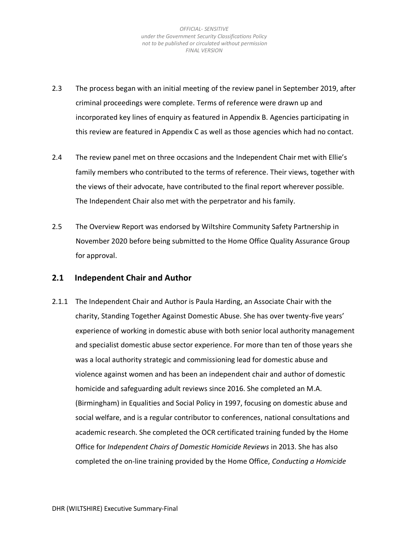- 2.3 The process began with an initial meeting of the review panel in September 2019, after criminal proceedings were complete. Terms of reference were drawn up and incorporated key lines of enquiry as featured in Appendix B. Agencies participating in this review are featured in Appendix C as well as those agencies which had no contact.
- 2.4 The review panel met on three occasions and the Independent Chair met with Ellie's family members who contributed to the terms of reference. Their views, together with the views of their advocate, have contributed to the final report wherever possible. The Independent Chair also met with the perpetrator and his family.
- 2.5 The Overview Report was endorsed by Wiltshire Community Safety Partnership in November 2020 before being submitted to the Home Office Quality Assurance Group for approval.

### **2.1 Independent Chair and Author**

2.1.1 The Independent Chair and Author is Paula Harding, an Associate Chair with the charity, Standing Together Against Domestic Abuse. She has over twenty-five years' experience of working in domestic abuse with both senior local authority management and specialist domestic abuse sector experience. For more than ten of those years she was a local authority strategic and commissioning lead for domestic abuse and violence against women and has been an independent chair and author of domestic homicide and safeguarding adult reviews since 2016. She completed an M.A. (Birmingham) in Equalities and Social Policy in 1997, focusing on domestic abuse and social welfare, and is a regular contributor to conferences, national consultations and academic research. She completed the OCR certificated training funded by the Home Office for *Independent Chairs of Domestic Homicide Reviews* in 2013. She has also completed the on-line training provided by the Home Office, *Conducting a Homicide*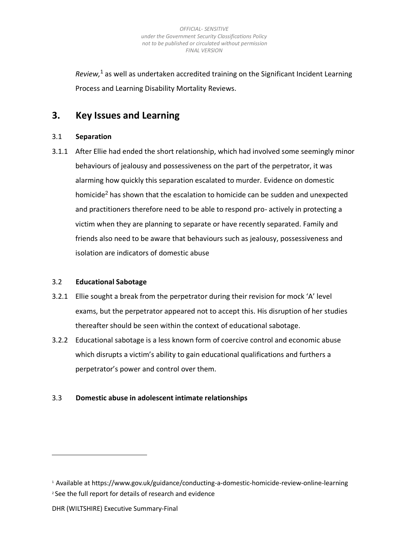*Review,*<sup>1</sup> as well as undertaken accredited training on the Significant Incident Learning Process and Learning Disability Mortality Reviews.

## <span id="page-6-0"></span>**3. Key Issues and Learning**

### 3.1 **Separation**

3.1.1 After Ellie had ended the short relationship, which had involved some seemingly minor behaviours of jealousy and possessiveness on the part of the perpetrator, it was alarming how quickly this separation escalated to murder. Evidence on domestic homicide<sup>2</sup> has shown that the escalation to homicide can be sudden and unexpected and practitioners therefore need to be able to respond pro- actively in protecting a victim when they are planning to separate or have recently separated. Family and friends also need to be aware that behaviours such as jealousy, possessiveness and isolation are indicators of domestic abuse

### 3.2 **Educational Sabotage**

- 3.2.1 Ellie sought a break from the perpetrator during their revision for mock 'A' level exams, but the perpetrator appeared not to accept this. His disruption of her studies thereafter should be seen within the context of educational sabotage.
- 3.2.2 Educational sabotage is a less known form of coercive control and economic abuse which disrupts a victim's ability to gain educational qualifications and furthers a perpetrator's power and control over them.

### 3.3 **Domestic abuse in adolescent intimate relationships**

<sup>1</sup> Available at https://www.gov.uk/guidance/conducting-a-domestic-homicide-review-online-learning <sup>2</sup> See the full report for details of research and evidence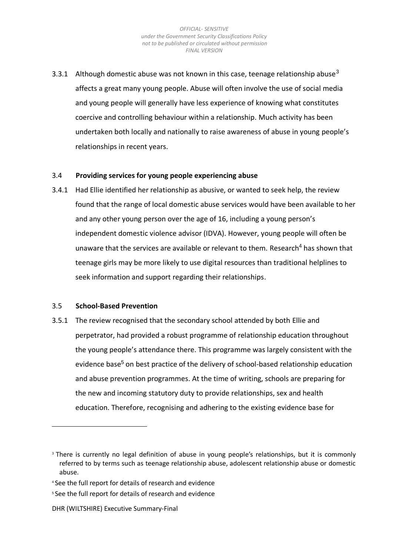3.3.1 Although domestic abuse was not known in this case, teenage relationship abuse<sup>3</sup> affects a great many young people. Abuse will often involve the use of social media and young people will generally have less experience of knowing what constitutes coercive and controlling behaviour within a relationship. Much activity has been undertaken both locally and nationally to raise awareness of abuse in young people's relationships in recent years.

#### 3.4 **Providing services for young people experiencing abuse**

3.4.1 Had Ellie identified her relationship as abusive, or wanted to seek help, the review found that the range of local domestic abuse services would have been available to her and any other young person over the age of 16, including a young person's independent domestic violence advisor (IDVA). However, young people will often be unaware that the services are available or relevant to them. Research<sup>4</sup> has shown that teenage girls may be more likely to use digital resources than traditional helplines to seek information and support regarding their relationships.

#### 3.5 **School-Based Prevention**

3.5.1 The review recognised that the secondary school attended by both Ellie and perpetrator, had provided a robust programme of relationship education throughout the young people's attendance there. This programme was largely consistent with the evidence base<sup>5</sup> on best practice of the delivery of school-based relationship education and abuse prevention programmes. At the time of writing, schools are preparing for the new and incoming statutory duty to provide relationships, sex and health education. Therefore, recognising and adhering to the existing evidence base for

#### DHR (WILTSHIRE) Executive Summary-Final

<sup>&</sup>lt;sup>3</sup> There is currently no legal definition of abuse in young people's relationships, but it is commonly referred to by terms such as teenage relationship abuse, adolescent relationship abuse or domestic abuse.

<sup>4</sup> See the full report for details of research and evidence

<sup>&</sup>lt;sup>5</sup> See the full report for details of research and evidence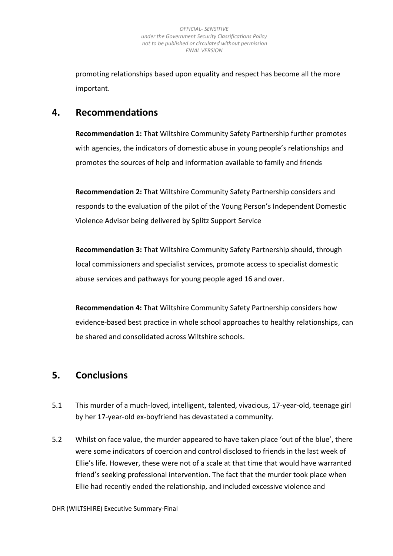promoting relationships based upon equality and respect has become all the more important.

## <span id="page-8-0"></span>**4. Recommendations**

**Recommendation 1:** That Wiltshire Community Safety Partnership further promotes with agencies, the indicators of domestic abuse in young people's relationships and promotes the sources of help and information available to family and friends

**Recommendation 2:** That Wiltshire Community Safety Partnership considers and responds to the evaluation of the pilot of the Young Person's Independent Domestic Violence Advisor being delivered by Splitz Support Service

**Recommendation 3:** That Wiltshire Community Safety Partnership should, through local commissioners and specialist services, promote access to specialist domestic abuse services and pathways for young people aged 16 and over.

**Recommendation 4:** That Wiltshire Community Safety Partnership considers how evidence-based best practice in whole school approaches to healthy relationships, can be shared and consolidated across Wiltshire schools.

## <span id="page-8-1"></span>**5. Conclusions**

- 5.1 This murder of a much-loved, intelligent, talented, vivacious, 17-year-old, teenage girl by her 17-year-old ex-boyfriend has devastated a community.
- 5.2 Whilst on face value, the murder appeared to have taken place 'out of the blue', there were some indicators of coercion and control disclosed to friends in the last week of Ellie's life. However, these were not of a scale at that time that would have warranted friend's seeking professional intervention. The fact that the murder took place when Ellie had recently ended the relationship, and included excessive violence and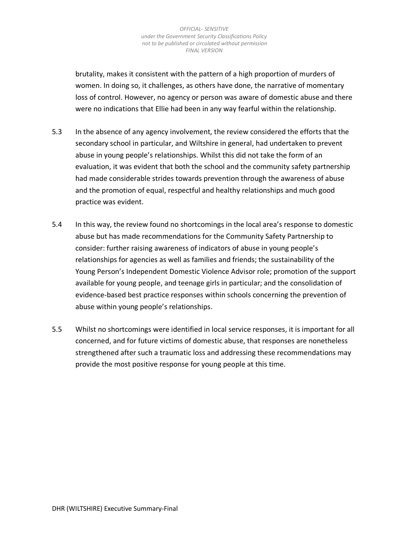brutality, makes it consistent with the pattern of a high proportion of murders of women. In doing so, it challenges, as others have done, the narrative of momentary loss of control. However, no agency or person was aware of domestic abuse and there were no indications that Ellie had been in any way fearful within the relationship.

- 5.3 In the absence of any agency involvement, the review considered the efforts that the secondary school in particular, and Wiltshire in general, had undertaken to prevent abuse in young people's relationships. Whilst this did not take the form of an evaluation, it was evident that both the school and the community safety partnership had made considerable strides towards prevention through the awareness of abuse and the promotion of equal, respectful and healthy relationships and much good practice was evident.
- 5.4 In this way, the review found no shortcomings in the local area's response to domestic abuse but has made recommendations for the Community Safety Partnership to consider: further raising awareness of indicators of abuse in young people's relationships for agencies as well as families and friends; the sustainability of the Young Person's Independent Domestic Violence Advisor role; promotion of the support available for young people, and teenage girls in particular; and the consolidation of evidence-based best practice responses within schools concerning the prevention of abuse within young people's relationships.
- 5.5 Whilst no shortcomings were identified in local service responses, it is important for all concerned, and for future victims of domestic abuse, that responses are nonetheless strengthened after such a traumatic loss and addressing these recommendations may provide the most positive response for young people at this time.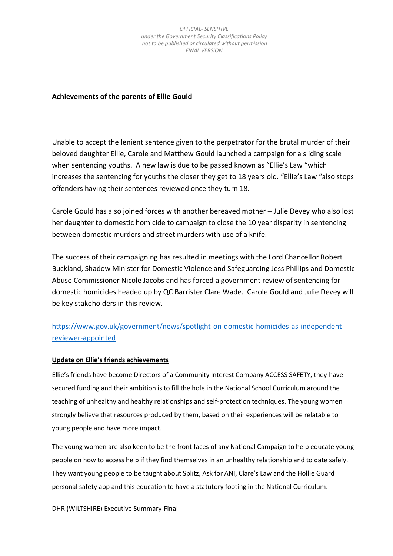#### **Achievements of the parents of Ellie Gould**

Unable to accept the lenient sentence given to the perpetrator for the brutal murder of their beloved daughter Ellie, Carole and Matthew Gould launched a campaign for a sliding scale when sentencing youths. A new law is due to be passed known as "Ellie's Law "which increases the sentencing for youths the closer they get to 18 years old. "Ellie's Law "also stops offenders having their sentences reviewed once they turn 18.

Carole Gould has also joined forces with another bereaved mother – Julie Devey who also lost her daughter to domestic homicide to campaign to close the 10 year disparity in sentencing between domestic murders and street murders with use of a knife.

The success of their campaigning has resulted in meetings with the Lord Chancellor Robert Buckland, Shadow Minister for Domestic Violence and Safeguarding Jess Phillips and Domestic Abuse Commissioner Nicole Jacobs and has forced a government review of sentencing for domestic homicides headed up by QC Barrister Clare Wade. Carole Gould and Julie Devey will be key stakeholders in this review.

## [https://www.gov.uk/government/news/spotlight-on-domestic-homicides-as-independent](https://www.gov.uk/government/news/spotlight-on-domestic-homicides-as-independent-reviewer-appointed)[reviewer-appointed](https://www.gov.uk/government/news/spotlight-on-domestic-homicides-as-independent-reviewer-appointed)

#### **Update on Ellie's friends achievements**

Ellie's friends have become Directors of a Community Interest Company ACCESS SAFETY, they have secured funding and their ambition is to fill the hole in the National School Curriculum around the teaching of unhealthy and healthy relationships and self-protection techniques. The young women strongly believe that resources produced by them, based on their experiences will be relatable to young people and have more impact.

The young women are also keen to be the front faces of any National Campaign to help educate young people on how to access help if they find themselves in an unhealthy relationship and to date safely. They want young people to be taught about Splitz, Ask for ANI, Clare's Law and the Hollie Guard personal safety app and this education to have a statutory footing in the National Curriculum.

DHR (WILTSHIRE) Executive Summary-Final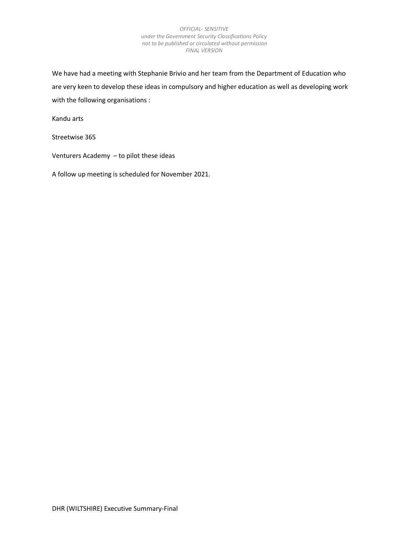We have had a meeting with Stephanie Brivio and her team from the Department of Education who are very keen to develop these ideas in compulsory and higher education as well as developing work with the following organisations :

Kandu arts

Streetwise 365

Venturers Academy – to pilot these ideas

A follow up meeting is scheduled for November 2021.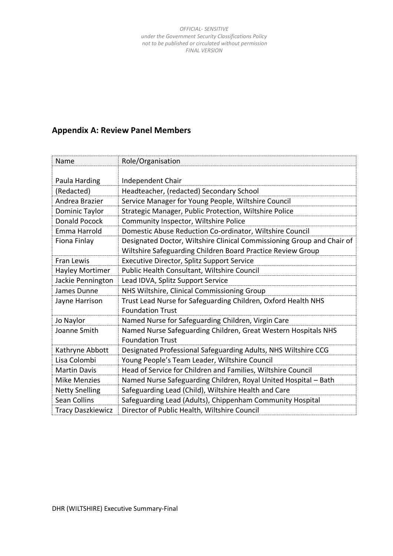## **Appendix A: Review Panel Members**

| Name                     | Role/Organisation                                                      |
|--------------------------|------------------------------------------------------------------------|
|                          |                                                                        |
| Paula Harding            | Independent Chair                                                      |
| (Redacted)               | Headteacher, (redacted) Secondary School                               |
| Andrea Brazier           | Service Manager for Young People, Wiltshire Council                    |
| Dominic Taylor           | Strategic Manager, Public Protection, Wiltshire Police                 |
| Donald Pocock            | Community Inspector, Wiltshire Police                                  |
| Emma Harrold             | Domestic Abuse Reduction Co-ordinator, Wiltshire Council               |
| Fiona Finlay             | Designated Doctor, Wiltshire Clinical Commissioning Group and Chair of |
|                          | Wiltshire Safeguarding Children Board Practice Review Group            |
| Fran Lewis               | Executive Director, Splitz Support Service                             |
| <b>Hayley Mortimer</b>   | Public Health Consultant, Wiltshire Council                            |
| Jackie Pennington        | Lead IDVA, Splitz Support Service                                      |
| James Dunne              | NHS Wiltshire, Clinical Commissioning Group                            |
| Jayne Harrison           | Trust Lead Nurse for Safeguarding Children, Oxford Health NHS          |
|                          | <b>Foundation Trust</b>                                                |
| Jo Naylor                | Named Nurse for Safeguarding Children, Virgin Care                     |
| Joanne Smith             | Named Nurse Safeguarding Children, Great Western Hospitals NHS         |
|                          | <b>Foundation Trust</b>                                                |
| Kathryne Abbott          | Designated Professional Safeguarding Adults, NHS Wiltshire CCG         |
| Lisa Colombi             | Young People's Team Leader, Wiltshire Council                          |
| <b>Martin Davis</b>      | Head of Service for Children and Families, Wiltshire Council           |
| <b>Mike Menzies</b>      | Named Nurse Safeguarding Children, Royal United Hospital - Bath        |
| <b>Netty Snelling</b>    | Safeguarding Lead (Child), Wiltshire Health and Care                   |
| <b>Sean Collins</b>      | Safeguarding Lead (Adults), Chippenham Community Hospital              |
| <b>Tracy Daszkiewicz</b> | Director of Public Health, Wiltshire Council                           |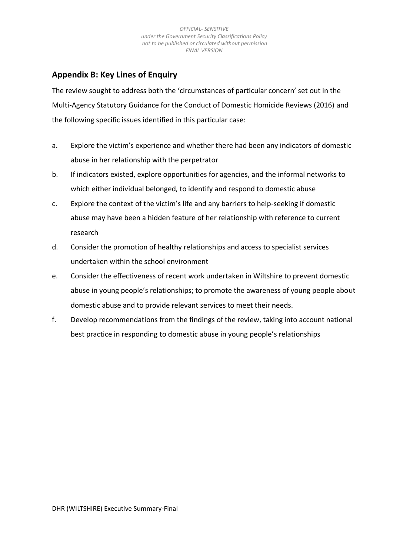## **Appendix B: Key Lines of Enquiry**

The review sought to address both the 'circumstances of particular concern' set out in the Multi-Agency Statutory Guidance for the Conduct of Domestic Homicide Reviews (2016) and the following specific issues identified in this particular case:

- a. Explore the victim's experience and whether there had been any indicators of domestic abuse in her relationship with the perpetrator
- b. If indicators existed, explore opportunities for agencies, and the informal networks to which either individual belonged, to identify and respond to domestic abuse
- c. Explore the context of the victim's life and any barriers to help-seeking if domestic abuse may have been a hidden feature of her relationship with reference to current research
- d. Consider the promotion of healthy relationships and access to specialist services undertaken within the school environment
- e. Consider the effectiveness of recent work undertaken in Wiltshire to prevent domestic abuse in young people's relationships; to promote the awareness of young people about domestic abuse and to provide relevant services to meet their needs.
- f. Develop recommendations from the findings of the review, taking into account national best practice in responding to domestic abuse in young people's relationships